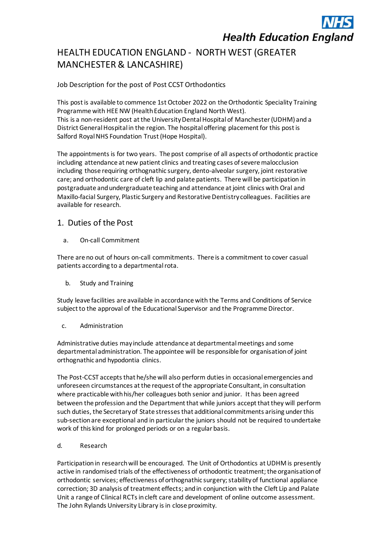# **Health Education England**

# HEALTH EDUCATION ENGLAND - NORTH WEST (GREATER MANCHESTER & LANCASHIRE)

Job Description for the post of Post CCST Orthodontics

This post is available to commence 1st October 2022 on the Orthodontic Speciality Training Programme with HEE NW (Health Education England North West). This is a non-resident post at the University Dental Hospital of Manchester (UDHM) and a District General Hospital in the region. The hospital offering placement for this post is Salford Royal NHS Foundation Trust (Hope Hospital).

The appointments is for two years. The post comprise of all aspects of orthodontic practice including attendance at new patient clinics and treating cases of severe malocclusion including those requiring orthognathic surgery, dento-alveolar surgery, joint restorative care; and orthodontic care of cleft lip and palate patients. There will be participation in postgraduate and undergraduate teaching and attendance at joint clinics with Oral and Maxillo-facial Surgery, Plastic Surgery and Restorative Dentistry colleagues. Facilities are available for research.

## 1. Duties of the Post

a. On-call Commitment

There are no out of hours on-call commitments. There is a commitment to cover casual patients according to a departmental rota.

b. Study and Training

Study leave facilities are available in accordance with the Terms and Conditions of Service subject to the approval of the Educational Supervisor and the Programme Director.

c. Administration

Administrative duties may include attendance at departmental meetings and some departmental administration. The appointee will be responsible for organisation of joint orthognathic and hypodontia clinics.

The Post-CCST accepts that he/she will also perform duties in occasional emergencies and unforeseen circumstances at the request of the appropriate Consultant, in consultation where practicable with his/her colleagues both senior and junior. It has been agreed between the profession and the Department that while juniors accept that they will perform such duties, the Secretary of State stresses that additional commitments arising under this sub-section are exceptional and in particular the juniors should not be required to undertake work of this kind for prolonged periods or on a regular basis.

d. Research

Participation in research will be encouraged. The Unit of Orthodontics at UDHM is presently active in randomised trials of the effectiveness of orthodontic treatment; the organisation of orthodontic services; effectiveness of orthognathic surgery; stability of functional appliance correction; 3D analysis of treatment effects; and in conjunction with the Cleft Lip and Palate Unit a range of Clinical RCTs in cleft care and development of online outcome assessment. The John Rylands University Library is in close proximity.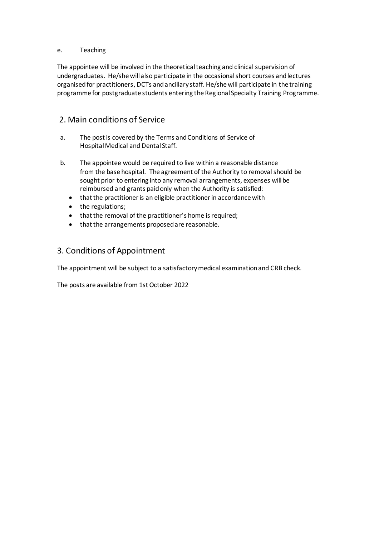#### e. Teaching

The appointee will be involved in the theoretical teaching and clinical supervision of undergraduates. He/she will also participate in the occasional short courses and lectures organised for practitioners, DCTs and ancillary staff. He/she will participate in the training programme for postgraduate students entering the Regional Specialty Training Programme.

## 2. Main conditions of Service

- a. The post is covered by the Terms and Conditions of Service of Hospital Medical and Dental Staff.
- b. The appointee would be required to live within a reasonable distance from the base hospital. The agreement of the Authority to removal should be sought prior to entering into any removal arrangements, expenses will be reimbursed and grants paid only when the Authority is satisfied:
	- that the practitioner is an eligible practitioner in accordance with
	- the regulations;
	- that the removal of the practitioner's home is required;
	- that the arrangements proposed are reasonable.

## 3. Conditions of Appointment

The appointment will be subject to a satisfactory medical examination and CRB check.

The posts are available from 1st October 2022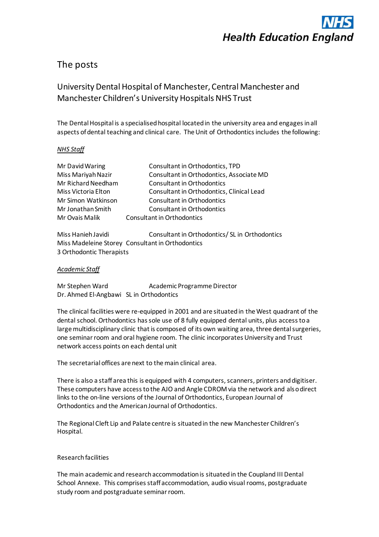

# The posts

# University Dental Hospital of Manchester, Central Manchester and Manchester Children's University Hospitals NHS Trust

The Dental Hospital is a specialised hospital located in the university area and engages in all aspects of dental teaching and clinical care. The Unit of Orthodontics includes the following:

#### *NHS Staff*

| Consultant in Orthodontics, TPD           |
|-------------------------------------------|
| Consultant in Orthodontics, Associate MD  |
| Consultant in Orthodontics                |
| Consultant in Orthodontics, Clinical Lead |
| Consultant in Orthodontics                |
| Consultant in Orthodontics                |
| Consultant in Orthodontics                |
|                                           |

Miss Hanieh Javidi Consultant in Orthodontics/ SL in Orthodontics Miss Madeleine Storey Consultant in Orthodontics 3 Orthodontic Therapists

#### *Academic Staff*

Mr Stephen Ward Academic Programme Director Dr. Ahmed El-Angbawi SL in Orthodontics

The clinical facilities were re-equipped in 2001 and are situated in the West quadrant of the dental school. Orthodontics has sole use of 8 fully equipped dental units, plus access to a large multidisciplinary clinic that is composed of its own waiting area, three dental surgeries, one seminar room and oral hygiene room. The clinic incorporates University and Trust network access points on each dental unit

The secretarial offices are next to the main clinical area.

There is also a staff area this is equipped with 4 computers, scanners, printers and digitiser. These computers have access to the AJO and Angle CDROM via the network and also direct links to the on-line versions of the Journal of Orthodontics, European Journal of Orthodontics and the American Journal of Orthodontics.

The Regional Cleft Lip and Palate centre is situated in the new Manchester Children's Hospital.

#### Research facilities

The main academic and research accommodation is situated in the Coupland III Dental School Annexe. This comprises staff accommodation, audio visual rooms, postgraduate study room and postgraduate seminar room.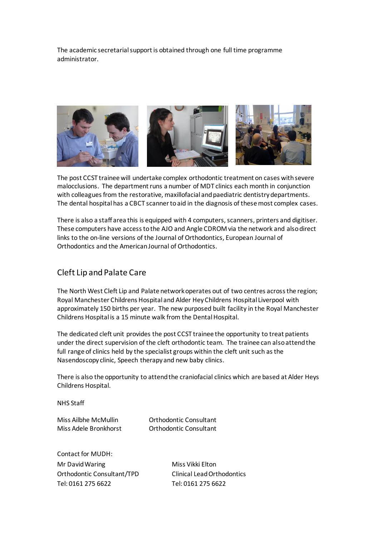The academic secretarial support is obtained through one full time programme administrator.



The post CCST trainee will undertake complex orthodontic treatment on cases with severe malocclusions. The department runs a number of MDT clinics each month in conjunction with colleagues from the restorative, maxillofacial and paediatric dentistry departments. The dental hospital has a CBCT scanner to aid in the diagnosis of these most complex cases.

There is also a staff area this is equipped with 4 computers, scanners, printers and digitiser. These computers have access to the AJO and Angle CDROM via the network and also direct links to the on-line versions of the Journal of Orthodontics, European Journal of Orthodontics and the American Journal of Orthodontics.

### Cleft Lip and Palate Care

The North West Cleft Lip and Palate network operates out of two centres across the region; Royal Manchester Childrens Hospital and Alder Hey Childrens Hospital Liverpool with approximately 150 births per year. The new purposed built facility in the Royal Manchester Childrens Hospital is a 15 minute walk from the Dental Hospital.

The dedicated cleft unit provides the post CCST trainee the opportunity to treat patients under the direct supervision of the cleft orthodontic team. The trainee can also attend the full range of clinics held by the specialist groups within the cleft unit such as the Nasendoscopy clinic, Speech therapy and new baby clinics.

There is also the opportunity to attend the craniofacial clinics which are based at Alder Heys Childrens Hospital.

NHS Staff

Miss Ailbhe McMullin Orthodontic Consultant Miss Adele Bronkhorst Orthodontic Consultant

Contact for MUDH: Mr David Waring Miss Vikki Elton Orthodontic Consultant/TPD Clinical Lead Orthodontics Tel: 0161 275 6622 Tel: 0161 275 6622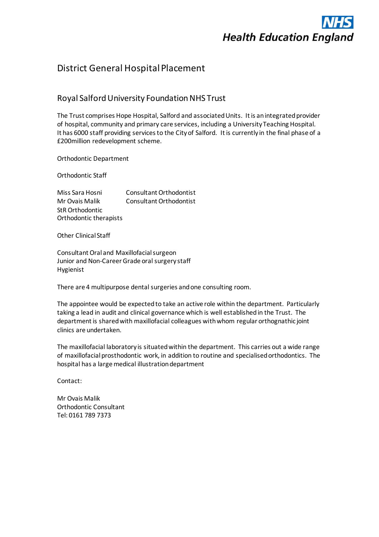

# District General Hospital Placement

## Royal Salford University Foundation NHS Trust

The Trust comprises Hope Hospital, Salford and associated Units. It is an integrated provider of hospital, community and primary care services, including a University Teaching Hospital. It has 6000 staff providing services to the City of Salford. It is currently in the final phase of a £200million redevelopment scheme.

Orthodontic Department

Orthodontic Staff

Miss Sara Hosni Consultant Orthodontist Mr Ovais Malik Consultant Orthodontist StR Orthodontic Orthodontic therapists

Other Clinical Staff

Consultant Oral and Maxillofacial surgeon Junior and Non-Career Grade oral surgery staff Hygienist

There are 4 multipurpose dental surgeries and one consulting room.

The appointee would be expected to take an active role within the department. Particularly taking a lead in audit and clinical governance which is well established in the Trust. The department is shared with maxillofacial colleagues with whom regular orthognathic joint clinics are undertaken.

The maxillofacial laboratory is situated within the department. This carries out a wide range of maxillofacial prosthodontic work, in addition to routine and specialised orthodontics. The hospital has a large medical illustration department

Contact:

Mr Ovais Malik Orthodontic Consultant Tel: 0161 789 7373